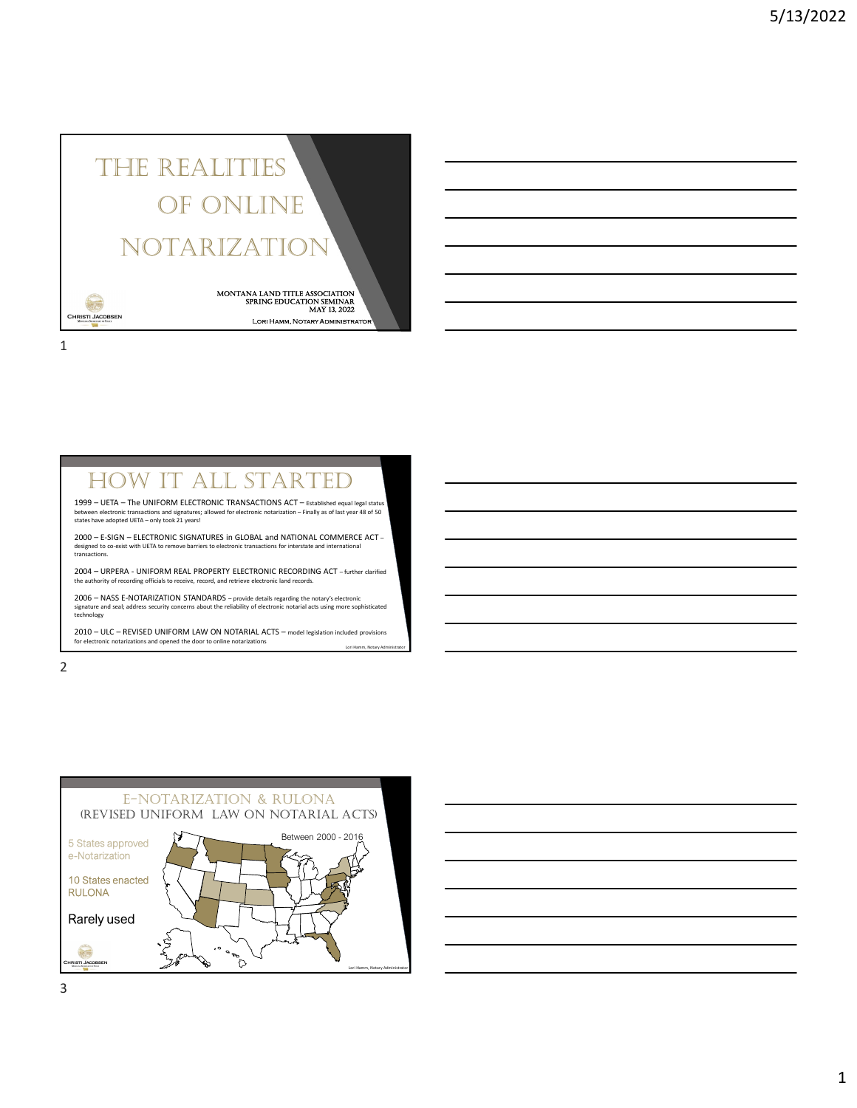## The RealiTies of online noTaRizaTion THE REALITIES<br>
OF ONLINE<br>
NOTARIZATION<br>
SURFACE SURFACE SURFACE SURFACE SURFACE SURFACE SURFACE SURFACE SURFACE SURFACE SURFACE SURFACE SURFACE SURFACE SURFACE SURFACE SURFACE SURFACE SURFACE SURFACE SURFACE SURFACE SURFAC

Lori Hamm, Notary Administrator MONTANA LAND TITLE ASSOCIATION<br>SPRING EDUCATION SEMINAR May 13, 2022

1

FORM THE UNIFORM ELECTRONIC TRANSACTIONS ACT – Etablished equal legal status<br>
shave adopted UETA – only took 21 years!<br>
Shave adopted UETA – only took 21 years!<br>
Shave adopted UETA – only took 21 years!<br>
OD – E-SIGN – ELEC

2 and 2 and 2 and 2 and 2 and 2 and 2 and 2 and 2 and 2 and 2 and 2 and 2 and 2 and 2 and 2 and 2 and 2 and 2



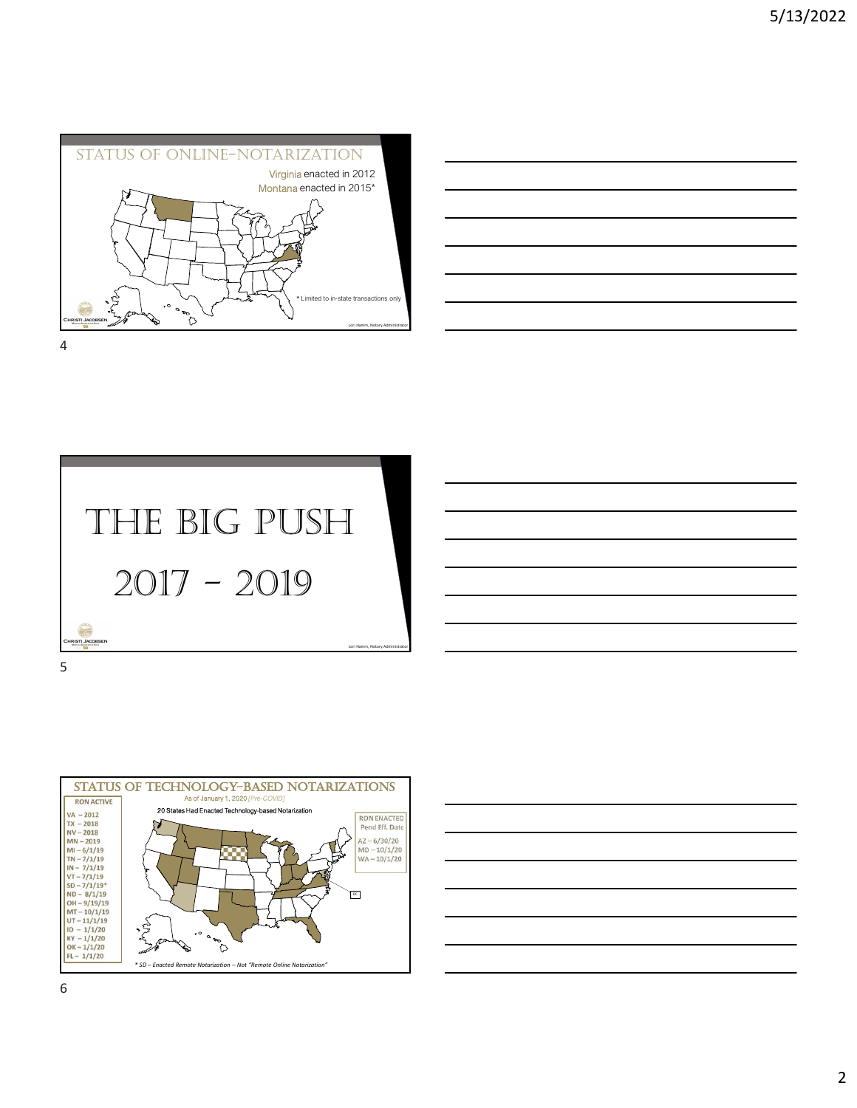







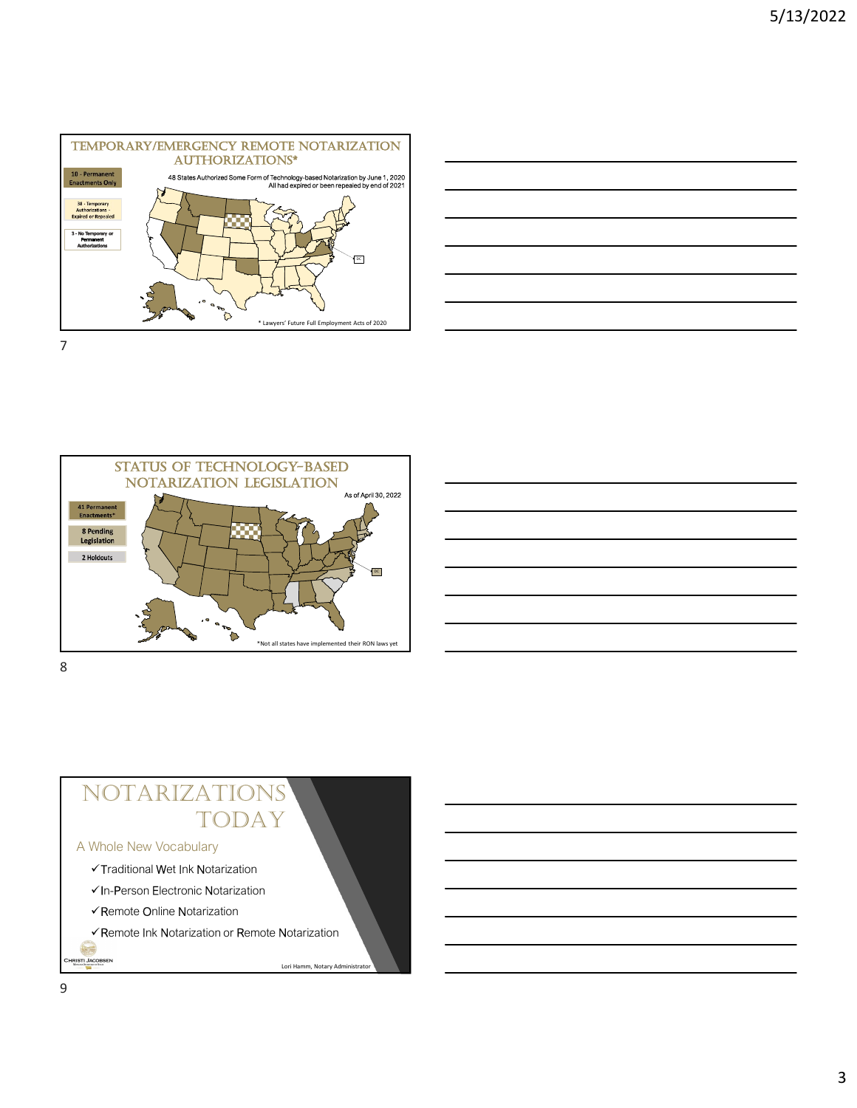







## NOTARIZATIONS<br>
Vhole New Vocabulary<br>
VTraditional Wet Ink Notarization<br>
VIE-Person Electronic Notarization<br>
VRemote Online Notarization<br>
VRemote Ink Notarization or Remote Notarization<br>
Lori Hamm, Notary Administrator<br>
Lor TODAY

#### A Whole New Vocabulary

- Traditional Wet Ink Notarization
- In-Person Electronic Notarization
- Remote Online Notarization
- Remote Ink Notarization or Remote Notarization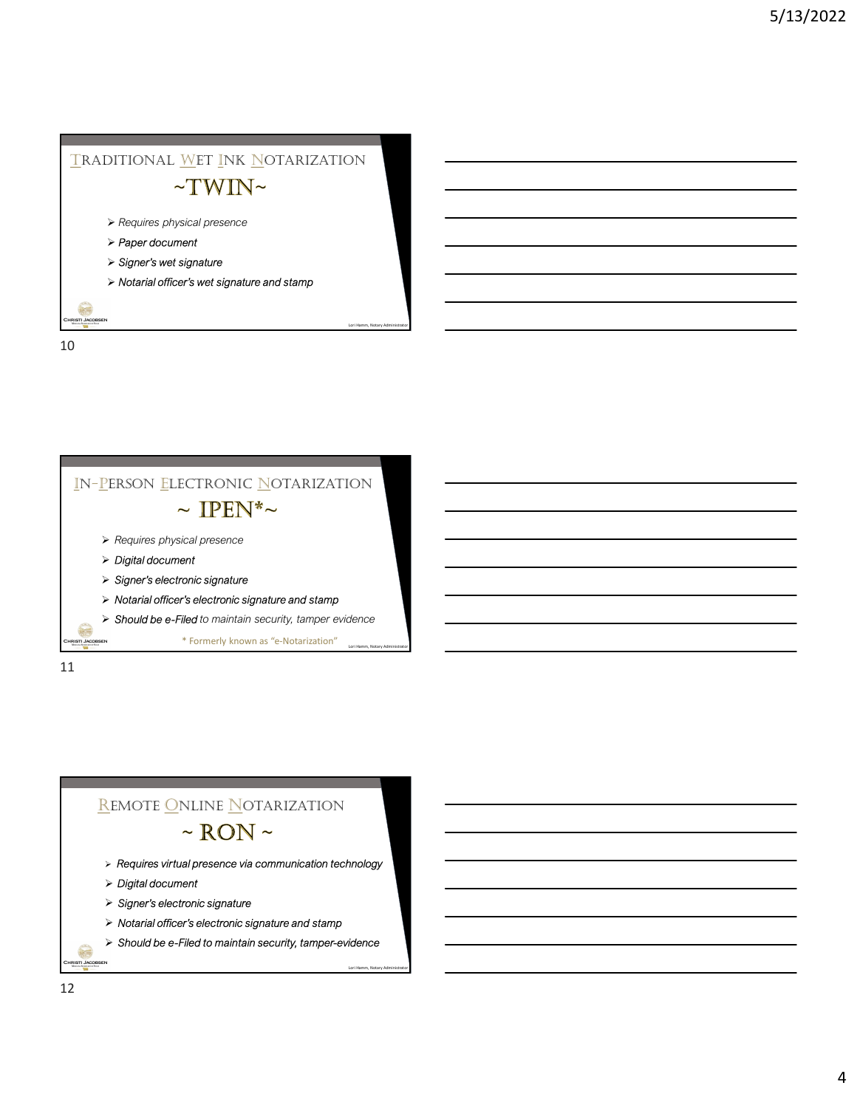

10



11

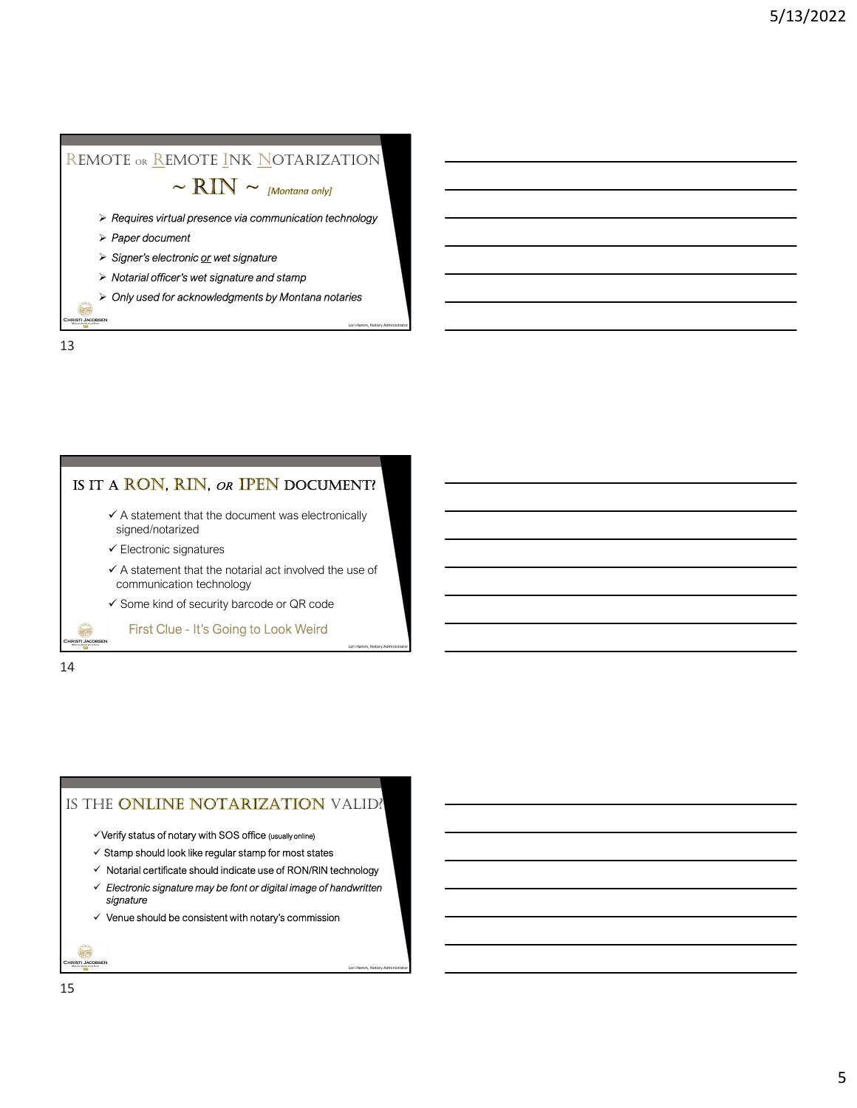# Signer's electronic or wet signature<br>  $\sim$  RIN  $\sim$  [Montana only]<br>  $>$  Requires virtual presence via communication technology<br>  $>$  Paper document<br>  $>$  Signer's electronic or wet signature<br>  $>$  Notarial officer's wet sign REMOTE OR REMOTE INK NOTARIZATION

- Lori Hamm, Notarial presence via communication technology<br>
⇒ Paper document<br>
⇒ Signer's electronic <u>or</u> wet signature<br>
⇒ Notarial officer's wet signature and stamp<br>
⇒ Only used for acknowledgments by Montana notaries<br>
→
- $\triangleright$  Paper document
- 
- $\triangleright$  Notarial officer's wet signature and stamp
- $\triangleright$  Only used for acknowledgments by Montana notaries

13

f. **RISTI JACC** 

#### IS IT A RON, RIN, OR IPEN DOCUMENT?

- $\checkmark$  A statement that the document was electronically signed/notarized
- $\checkmark$  Electronic signatures
- $\checkmark$  A statement that the notarial act involved the use of communication technology First Clue - It's Going to Look Weird

Lori Hamm, Notary Administrator

Lori Hamm, Notary Administrator

 $\checkmark$  Some kind of security barcode or QR code

14

6 **RISTI JACO** 

#### IS THE ONLINE NOTARIZATION VALID?

- $\checkmark$  Verify status of notary with SOS office (usually online)
- $\checkmark$  Stamp should look like regular stamp for most states
- $\checkmark$  Notarial certificate should indicate use of RON/RIN technology
- $\checkmark$  Electronic signature may be font or digital image of handwritten signature
- $\checkmark$  Venue should be consistent with notary's commission

**RISTI JACC**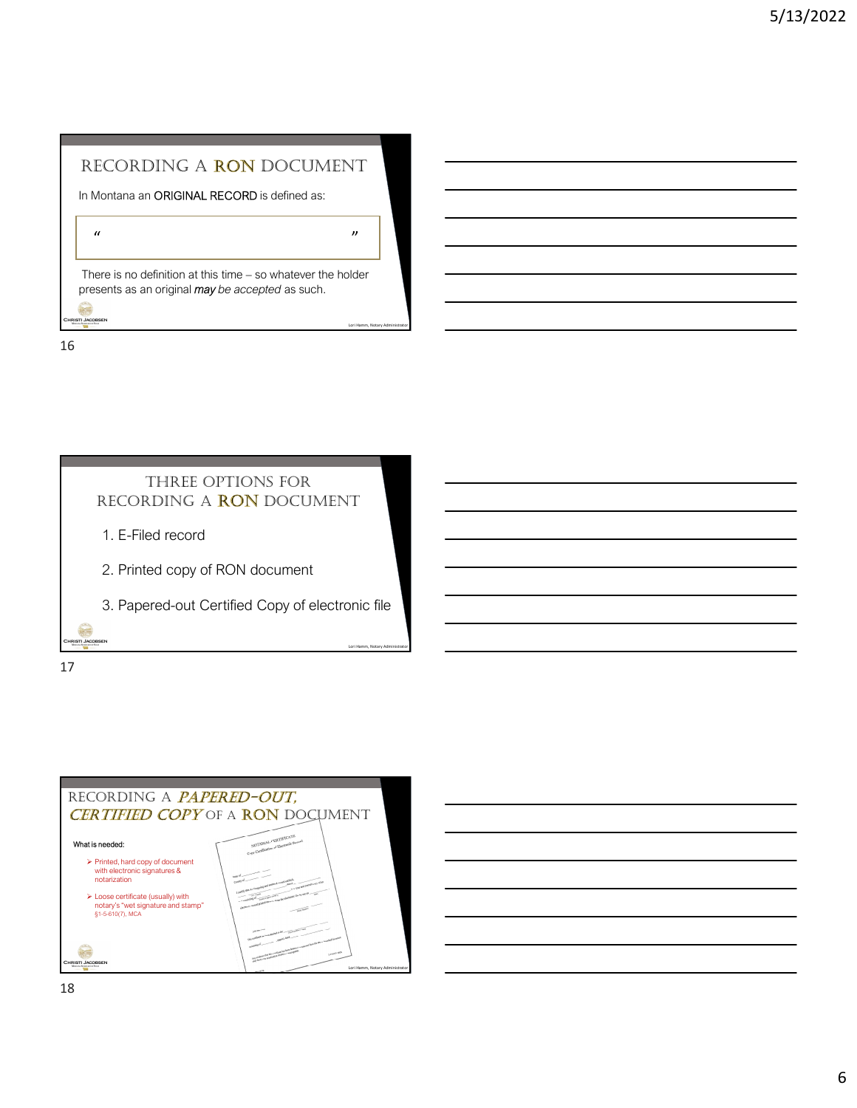In Montana an ORIGINAL RECORD is defined as:

" "

RECORDING A RON DOCUMENT<br>
In Montana an ORIGINAL RECORD is defined as:<br>
<br>
There is no definition at this time – so whatever the holder<br>
oresents as an original *may be accepted* as such.  $\begin{tabular}{l|c|c|c|} \hline \multicolumn{1}{c}{\textbf{RECORDING A RON DOCUMENT}} \\ \hline \multicolumn{1}{c}{\textbf{Montana an ORIGNAL RECORD is defined as:}} \\ \multicolumn{1}{c}{\textbf{Montana}} \\ \hline \multicolumn{1}{c}{\textbf{There is no definition at this time - so whatever the holder} \\ \hline \multicolumn{1}{c}{\textbf{There is an original may be accepted as such.}} \\ \hline \multicolumn{1}{c}{\textbf{There is an original may be accepted as such.}} \\ \hline \multicolumn{1}{c}{\textbf{There is an original may be accepted as such.}} \\ \hline \multicolumn{1}{c}{\$ RECORDING A RON DOCUMENT<br>
In Montana an ORIGINAL RECORD is defined as:<br>
<br>
There is no definition at this time – so whatever the holder<br>
presents as an original **may** be accepted as such.

16



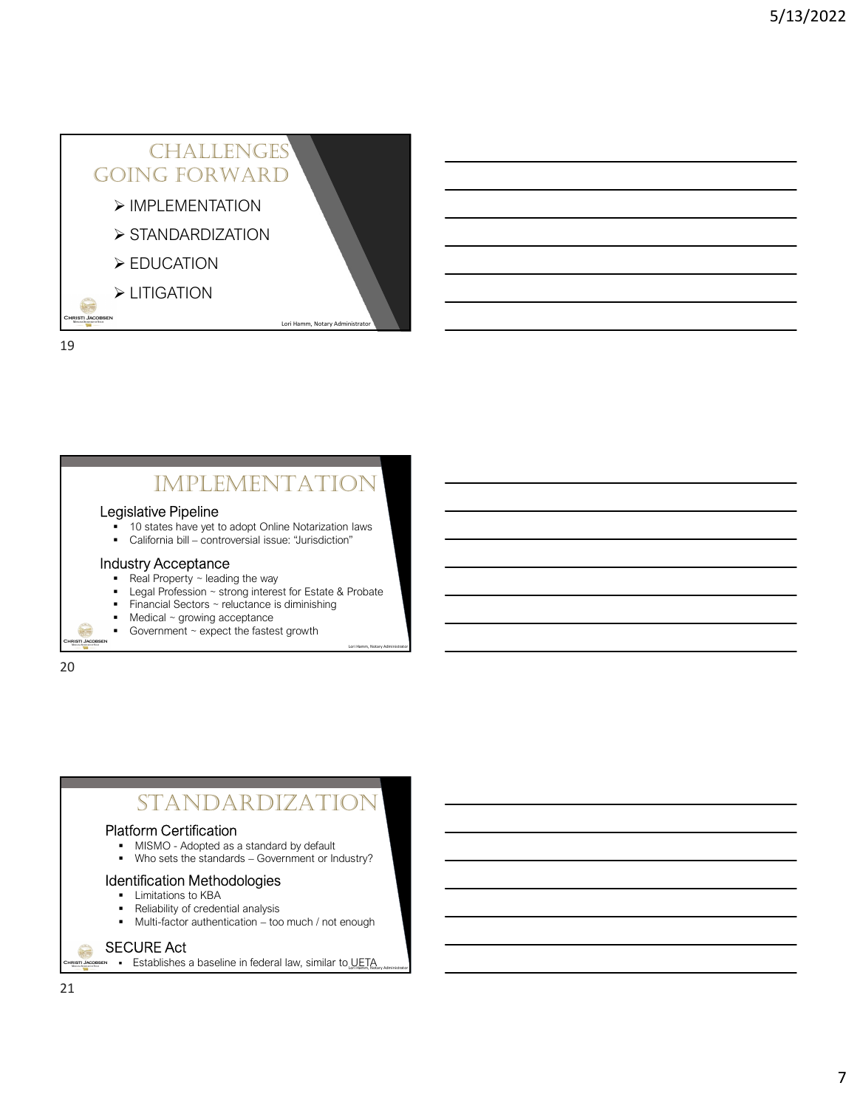### CHALLENGES<br>
IG FORWARD<br>
PLEMENTATION<br>
UCATION<br>
LORITION<br>
LORITION going foRWaRd DING FORWARD<br>
EDUCATION<br>
EDUCATION<br>
EDUCATION<br>
California bill – controversial issue: "Jurisdiction"<br>
California bill – controversial issue: "Jurisdiction"<br>
- California bill – controversial issue: "Jurisdiction"<br>
- Cali  $\triangleright$  IMPLEMENTATION > STANDARDIZATION ▶ EDUCATION **> LITIGATION** -

19

#### **IMPLEMENTAT**

#### Legislative Pipeline

- 10 states have yet to adopt Online Notarization laws<br>California bill controversial issue: "Jurisdiction"
- 

#### Industry Acceptance

- Real Property  $\sim$  leading the way
- **Legal Profession ~ strong interest for Estate & Probate**

Lori Hamm, Notary Administrator

- **Financial Sectors ~ reluctance is diminishing Arizon Contract Contract Contract Contract Contract Contract Contract Contract Contract Contract Contract Contract Contract Contract Contract Contract Contract Contract Contra**
- Medical ~ growing acceptance
- Government ~ expect the fastest growth

20

**RISTI JA** 

# **STANDARDIZATIO** MMPLEMENTATION<br>
10 states have yet to adopt Online Notarization laws<br>
California bill – controversial issue: "Jurisdiction"<br>
Legal Property – leading the way<br>
Legal Property – leading the way<br>
Finandal Sectors – returning Usity Acception – strong interest for Estate & Probate<br>
Legal Property – isolation – strong interest for Estate & Probate<br>
Medical – growing acceptance<br>
Medical – growing acceptance<br>
Moreonment – expect the fastest growth<br>

#### Platform Certification

- 
- 

#### Identification Methodologies

- Limitations to KBA<br>• Reliability of creder
- 
- Reliability of credential analysis<br>• Multi-factor authentication too much / not enough

#### SECURE Act  $\bigcirc$

**Establishes a baseline in federal law, similar to UETA Administrator** 

**RISTI JAC**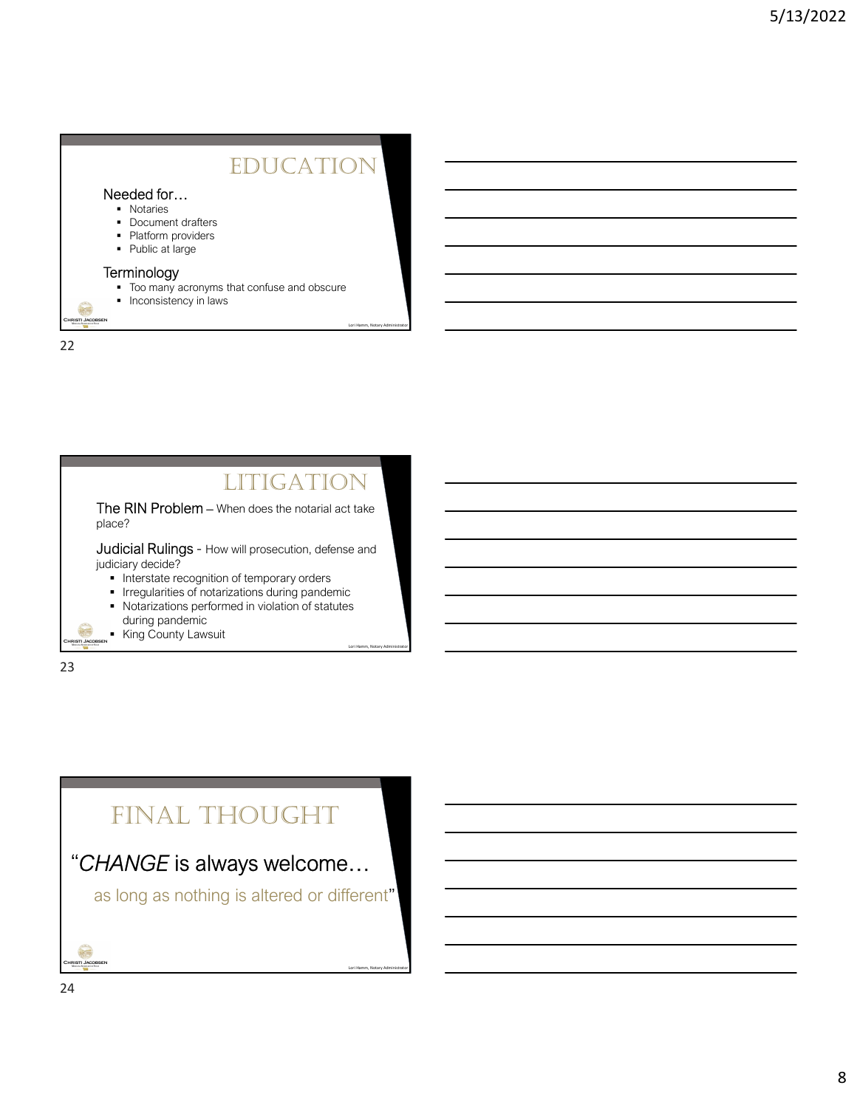#### **EDUCATION**

Lori Hamm, Notary Administrator

Lori Hamm, Notary Administrator

#### Needed for…

- **Notaries**
- Document drafters
- Platform providers

22

■ Public at large

#### **Terminology**

- $\blacksquare$  Too many acronyms that confuse and obscure
- Inconsistency in laws

6 **RISTI JACOE** 

**LITIGATION** The RIN Problem - When does the notarial act take place? **Judicial Rulings - How will prosecution, defense and** judiciary decide? **Interstate recognition of temporary orders IFICH INTEGLARY IS NOT A LITE OF INCORDING A LITE OF THE UPPER ITE ITE ITE ITE ITE ITE ITE ITE ITE ITE ITE ITE ITE ITE ITE ITE ITE ITE ITE ITE ITE ITE ITE ITE ITE ITE** Notarizations performed in violation of statutes during pandemic **Comment** King County Lawsuit **IRISTI JA** Lori Hamm, Notary Administrator

23

#### final ThoughT

#### "CHANGE is always welcome…

as long as nothing is altered or different"

**RISTI JAC**